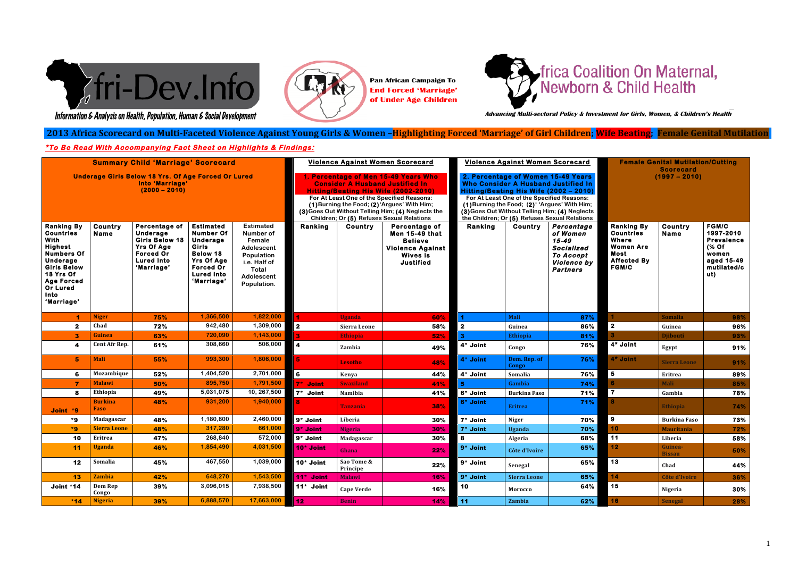

#### 2013 Africa Scorecard on Multi-Faceted Violence Against Young Girls & Women –<mark>Highlighting Forced 'Marriage' of Girl Children</mark>; <mark>Wife Beating</mark>; Female Genital Mutilation *"Child'marriage'and'the'betrothal'of'girls'and'boys'shall'be'prohibited'and'effective'*

Information & Analysis on Health, Population, Human & Social Development

# **\*To Be Read With Accompanying Fact Sheet on Highlights & Findings:**  *action,'including'legislation,'shall'be'taken'to'specify'the'minimum'age'of'marriage'to' be'18'years"*





**Pan African Campaign To End Forced 'Marriage' of Under Age Children**

 **Advancing Multi-sectoral Policy & Investment for Girls, Women, & Children's Health**

| <b>Summary Child 'Marriage' Scorecard</b><br><b>Underage Girls Below 18 Yrs. Of Age Forced Or Lured</b><br>Into 'Marriage'<br>$(2000 - 2010)$                                                            |                               |                                                                                                                                |                                                                                                                                                   |                                                                                                                           | Violence Against Women Scorecard<br>1. Percentage of Men 15-49 Years Who<br><b>Consider A Husband Justified In</b><br>Hitting/Beating His Wife (2002-2010)<br>For At Least One of the Specified Reasons:<br>(1) Burning the Food; (2) 'Argues' With Him;<br>(3) Goes Out Without Telling Him; (4) Neglects the<br>Children; Or (5) Refuses Sexual Relations |                        |                                                                                                                     | Violence Against Women Scorecard<br>2. Percentage of Women 15-49 Years<br><b>Who Consider A Husband Justified In</b><br>Hitting/Beating His Wife (2002 - 2010)<br>For At Least One of the Specified Reasons:<br>(1) Burning the Food; (2)' 'Argues' With Him;<br>(3) Goes Out Without Telling Him; (4) Neglects<br>the Children; Or (5) Refuses Sexual Relations |                       |                                                                                                     | <b>Female Genital Mutilation/Cutting</b><br><b>Scorecard</b><br>$(1997 - 2010)$                                         |                          |                                                                                                         |
|----------------------------------------------------------------------------------------------------------------------------------------------------------------------------------------------------------|-------------------------------|--------------------------------------------------------------------------------------------------------------------------------|---------------------------------------------------------------------------------------------------------------------------------------------------|---------------------------------------------------------------------------------------------------------------------------|-------------------------------------------------------------------------------------------------------------------------------------------------------------------------------------------------------------------------------------------------------------------------------------------------------------------------------------------------------------|------------------------|---------------------------------------------------------------------------------------------------------------------|------------------------------------------------------------------------------------------------------------------------------------------------------------------------------------------------------------------------------------------------------------------------------------------------------------------------------------------------------------------|-----------------------|-----------------------------------------------------------------------------------------------------|-------------------------------------------------------------------------------------------------------------------------|--------------------------|---------------------------------------------------------------------------------------------------------|
| <b>Ranking By</b><br><b>Countries</b><br>With<br><b>Highest</b><br><b>Numbers Of</b><br>Underage<br><b>Girls Below</b><br>18 Yrs Of<br><b>Age Forced</b><br><b>Or Lured</b><br><b>Into</b><br>'Marriage' | Country<br><b>Name</b>        | Percentage of<br>Underage<br><b>Girls Below 18</b><br><b>Yrs Of Age</b><br><b>Forced Or</b><br><b>Lured Into</b><br>'Marriage' | <b>Estimated</b><br><b>Number Of</b><br>Underage<br>Girls<br>Below 18<br><b>Yrs Of Age</b><br><b>Forced Or</b><br><b>Lured Into</b><br>'Marriage' | <b>Estimated</b><br>Number of<br>Female<br>Adolescent<br>Population<br>i.e. Half of<br>Total<br>Adolescent<br>Population. | Ranking                                                                                                                                                                                                                                                                                                                                                     | <b>Country</b>         | Percentage of<br><b>Men 15-49 that</b><br><b>Believe</b><br><b>Violence Against</b><br><b>Wives is</b><br>Justified | Ranking                                                                                                                                                                                                                                                                                                                                                          | Country               | Percentage<br>of Women<br>15-49<br>Socialized<br><b>To Accept</b><br>Violence by<br><b>Partners</b> | <b>Ranking By</b><br><b>Countries</b><br><b>Where</b><br><b>Women Are</b><br>Most<br><b>Affected By</b><br><b>FGM/C</b> | Country<br><b>Name</b>   | <b>FGM/C</b><br>1997-2010<br><b>Prevalence</b><br>(% Of<br>women<br>aged 15-49<br>mutilated/c<br>$u$ t) |
| 4                                                                                                                                                                                                        | <b>Niger</b>                  | 75%                                                                                                                            | 1,366,500                                                                                                                                         | 1,822,000                                                                                                                 |                                                                                                                                                                                                                                                                                                                                                             | <b>Uganda</b>          | 60%                                                                                                                 |                                                                                                                                                                                                                                                                                                                                                                  | <b>Mali</b>           | 87%                                                                                                 |                                                                                                                         | <b>Somalia</b>           | 98%                                                                                                     |
| $\mathbf{2}$                                                                                                                                                                                             | Chad                          | 72%                                                                                                                            | 942,480                                                                                                                                           | 1,309,000                                                                                                                 | $\overline{\mathbf{2}}$                                                                                                                                                                                                                                                                                                                                     | Sierra Leone           | 58%                                                                                                                 | $\mathbf{2}$                                                                                                                                                                                                                                                                                                                                                     | Guinea                | 86%                                                                                                 | $\overline{\mathbf{2}}$                                                                                                 | Guinea                   | 96%                                                                                                     |
| 3                                                                                                                                                                                                        | Guinea                        | 63%                                                                                                                            | 720,090                                                                                                                                           | 1,143,000                                                                                                                 | 3 <sup>1</sup>                                                                                                                                                                                                                                                                                                                                              | <b>Ethiopia</b>        | 52%                                                                                                                 |                                                                                                                                                                                                                                                                                                                                                                  | Ethiopia              | 81%                                                                                                 |                                                                                                                         | <b>Djibouti</b>          | 93%                                                                                                     |
|                                                                                                                                                                                                          | Cent Afr Rep.                 | 61%                                                                                                                            | 308,660                                                                                                                                           | 506,000                                                                                                                   | 4                                                                                                                                                                                                                                                                                                                                                           | Zambia                 | 49%                                                                                                                 | 4* Joint                                                                                                                                                                                                                                                                                                                                                         | Congo                 | 76%                                                                                                 | 4* Joint                                                                                                                | Egypt                    | 91%                                                                                                     |
| 5                                                                                                                                                                                                        | <b>Mali</b>                   | 55%                                                                                                                            | 993,300                                                                                                                                           | 1,806,000                                                                                                                 | 5.                                                                                                                                                                                                                                                                                                                                                          | Lesotho                | 48%                                                                                                                 | 4* Joint                                                                                                                                                                                                                                                                                                                                                         | Dem. Rep. of<br>Congo | 76%                                                                                                 | 4* Joint                                                                                                                | <b>Sierra Leone</b>      | 91%                                                                                                     |
| 6                                                                                                                                                                                                        | Mozambique                    | 52%                                                                                                                            | 1,404,520                                                                                                                                         | 2,701,000                                                                                                                 | $6\phantom{a}$                                                                                                                                                                                                                                                                                                                                              | Kenya                  | 44%                                                                                                                 | 4* Joint                                                                                                                                                                                                                                                                                                                                                         | Somalia               | 76%                                                                                                 | $5\phantom{.0}$                                                                                                         | Eritrea                  | 89%                                                                                                     |
| 7                                                                                                                                                                                                        | <b>Malawi</b>                 | 50%                                                                                                                            | 895,750                                                                                                                                           | 1,791,500                                                                                                                 | 7* Joint                                                                                                                                                                                                                                                                                                                                                    | <b>Swaziland</b>       | 41%                                                                                                                 |                                                                                                                                                                                                                                                                                                                                                                  | Gambia                | 74%                                                                                                 |                                                                                                                         | <b>Mali</b>              | 85%                                                                                                     |
| 8                                                                                                                                                                                                        | Ethiopia                      | 49%                                                                                                                            | 5,031,075                                                                                                                                         | 10, 267,500                                                                                                               | 7* Joint                                                                                                                                                                                                                                                                                                                                                    | Namibia                | 41%                                                                                                                 | 6* Joint                                                                                                                                                                                                                                                                                                                                                         | <b>Burkina Faso</b>   | 71%                                                                                                 | $\overline{\mathbf{7}}$                                                                                                 | Gambia                   | 78%                                                                                                     |
| Joint *9                                                                                                                                                                                                 | <b>Burkina</b><br><b>Faso</b> | 48%                                                                                                                            | 931,200                                                                                                                                           | 1,940,000                                                                                                                 | 8                                                                                                                                                                                                                                                                                                                                                           | Tanzania               | 38%                                                                                                                 | 6* Joint                                                                                                                                                                                                                                                                                                                                                         | <b>Eritrea</b>        | 71%                                                                                                 | я                                                                                                                       | <b>Ethiopia</b>          | 74%                                                                                                     |
| *9                                                                                                                                                                                                       | Madagascar                    | 48%                                                                                                                            | 1,180,800                                                                                                                                         | 2,460,000                                                                                                                 | 9* Joint                                                                                                                                                                                                                                                                                                                                                    | Liberia                | 30%                                                                                                                 | 7* Joint                                                                                                                                                                                                                                                                                                                                                         | <b>Niger</b>          | 70%                                                                                                 | $\mathbf{9}$                                                                                                            | <b>Burkina Faso</b>      | 73%                                                                                                     |
| $*9$                                                                                                                                                                                                     | <b>Sierra Leone</b>           | 48%                                                                                                                            | 317,280                                                                                                                                           | 661,000                                                                                                                   | 9 <sup>*</sup> Joint                                                                                                                                                                                                                                                                                                                                        | <b>Nigeria</b>         | 30%                                                                                                                 | 7* Joint                                                                                                                                                                                                                                                                                                                                                         | <b>Uganda</b>         | 70%                                                                                                 | 10 <sub>1</sub>                                                                                                         | <b>Mauritania</b>        | 72%                                                                                                     |
| 10                                                                                                                                                                                                       | Eritrea                       | 47%                                                                                                                            | 268,840                                                                                                                                           | 572,000                                                                                                                   | 9* Joint                                                                                                                                                                                                                                                                                                                                                    | Madagascar             | 30%                                                                                                                 | 8                                                                                                                                                                                                                                                                                                                                                                | Algeria               | 68%                                                                                                 | 11                                                                                                                      | Liberia                  | 58%                                                                                                     |
| 11                                                                                                                                                                                                       | <b>Uganda</b>                 | 46%                                                                                                                            | 1,854,490                                                                                                                                         | 4,031,500                                                                                                                 | 10 <sup>*</sup> Joint                                                                                                                                                                                                                                                                                                                                       | Ghana                  | 22%                                                                                                                 | 9 <sup>*</sup> Joint                                                                                                                                                                                                                                                                                                                                             | Côte d'Ivoire         | 65%                                                                                                 | 12 <sub>1</sub>                                                                                                         | Guinea-<br><b>Rissan</b> | 50%                                                                                                     |
| 12                                                                                                                                                                                                       | Somalia                       | 45%                                                                                                                            | 467,550                                                                                                                                           | 1,039,000                                                                                                                 | 10* Joint                                                                                                                                                                                                                                                                                                                                                   | Sao Tome &<br>Principe | 22%                                                                                                                 | 9* Joint                                                                                                                                                                                                                                                                                                                                                         | Senegal               | 65%                                                                                                 | $\overline{13}$                                                                                                         | Chad                     | 44%                                                                                                     |
| 13                                                                                                                                                                                                       | <b>Zambia</b>                 | 42%                                                                                                                            | 648,270                                                                                                                                           | 1,543,500                                                                                                                 | 11 <sup>*</sup> Joint                                                                                                                                                                                                                                                                                                                                       | <b>Malawi</b>          | 16%                                                                                                                 | 9 <sup>*</sup> Joint                                                                                                                                                                                                                                                                                                                                             | <b>Sierra Leone</b>   | 65%                                                                                                 | 14                                                                                                                      | <b>Côte d'Ivoire</b>     | 36%                                                                                                     |
| Joint *14                                                                                                                                                                                                | Dem Rep<br>Congo              | 39%                                                                                                                            | 3,096,015                                                                                                                                         | 7,938,500                                                                                                                 | 11* Joint                                                                                                                                                                                                                                                                                                                                                   | <b>Cape Verde</b>      | 16%                                                                                                                 | 10                                                                                                                                                                                                                                                                                                                                                               | Morocco               | 64%                                                                                                 | 15                                                                                                                      | <b>Nigeria</b>           | 30%                                                                                                     |
| $*14$                                                                                                                                                                                                    | <b>Nigeria</b>                | 39%                                                                                                                            | 6,888,570                                                                                                                                         | 17,663,000                                                                                                                | 12 <sub>2</sub>                                                                                                                                                                                                                                                                                                                                             | <b>Benin</b>           | 14%                                                                                                                 | 11                                                                                                                                                                                                                                                                                                                                                               | Zambia                | 62%                                                                                                 | 16                                                                                                                      | <b>Senegal</b>           | 28%                                                                                                     |

# frica Coalition On Maternal,<br>Newborn & Child Health

| ainst Women Scorecard |                                                                                                                                                                                                                   |  | <b>Female Genital Mutilation/Cutting</b><br><b>Scorecard</b>                                              |                          |                                                                                                      |  |  |  |
|-----------------------|-------------------------------------------------------------------------------------------------------------------------------------------------------------------------------------------------------------------|--|-----------------------------------------------------------------------------------------------------------|--------------------------|------------------------------------------------------------------------------------------------------|--|--|--|
|                       | e of Women 15-49 Years<br>r A Husband Justified In<br>g His Wife (2002 – 2010)<br>he of the Specified Reasons:<br>Food; (2)' 'Argues' With Him;<br>hout Telling Him; (4) Neglects<br>(5) Refuses Sexual Relations |  | $(1997 - 2010)$                                                                                           |                          |                                                                                                      |  |  |  |
| Country               | Percentage<br>of Women<br>15-49<br>Socialized<br><b>To Accept</b><br>Violence by<br>Partners                                                                                                                      |  | <b>Ranking By</b><br><b>Countries</b><br>Where<br>Women Are<br>Most<br><b>Affected By</b><br><b>FGM/C</b> | Country<br><b>Name</b>   | <b>FGM/C</b><br>1997-2010<br><b>Prevalence</b><br>(% Of<br>women<br>aged 15-49<br>mutilated/c<br>ut) |  |  |  |
| Mali                  | 87%                                                                                                                                                                                                               |  | 1                                                                                                         | <b>Somalia</b>           | 98%                                                                                                  |  |  |  |
| Guinea                | 86%                                                                                                                                                                                                               |  | 2                                                                                                         | Guinea                   | 96%                                                                                                  |  |  |  |
| Ethiopia              | 81%                                                                                                                                                                                                               |  | 3                                                                                                         | <b>Djibouti</b>          | 93%                                                                                                  |  |  |  |
| Congo                 | 76%                                                                                                                                                                                                               |  | 4* Joint                                                                                                  | Egypt                    | 91%                                                                                                  |  |  |  |
| Dem. Rep. of<br>Congo | 76%                                                                                                                                                                                                               |  | 4* Joint                                                                                                  | <b>Sierra Leone</b>      | 91%                                                                                                  |  |  |  |
| Somalia               | 76%                                                                                                                                                                                                               |  | 5                                                                                                         | <b>Eritrea</b>           | 89%                                                                                                  |  |  |  |
| Gambia                | 74%                                                                                                                                                                                                               |  | 6                                                                                                         | <b>Mali</b>              | 85%                                                                                                  |  |  |  |
| <b>Burkina Faso</b>   | 71%                                                                                                                                                                                                               |  | $\overline{7}$                                                                                            | Gambia                   | 78%                                                                                                  |  |  |  |
| <b>Eritrea</b>        | 71%                                                                                                                                                                                                               |  | 8                                                                                                         | <b>Ethiopia</b>          | 74%                                                                                                  |  |  |  |
| Niger                 | 70%                                                                                                                                                                                                               |  | 9                                                                                                         | <b>Burkina Faso</b>      | 73%                                                                                                  |  |  |  |
| <b>Uganda</b>         | 70%                                                                                                                                                                                                               |  | 10                                                                                                        | <b>Mauritania</b>        | 72%                                                                                                  |  |  |  |
| Algeria               | 68%                                                                                                                                                                                                               |  | 11                                                                                                        | Liberia                  | 58%                                                                                                  |  |  |  |
| Côte d'Ivoire         | 65%                                                                                                                                                                                                               |  | 12                                                                                                        | Guinea-<br><b>Bissau</b> | 50%                                                                                                  |  |  |  |
| Senegal               | 65%                                                                                                                                                                                                               |  | 13                                                                                                        | Chad                     | 44%                                                                                                  |  |  |  |
| <b>Sierra Leone</b>   | 65%                                                                                                                                                                                                               |  | 14                                                                                                        | <b>Côte d'Ivoire</b>     | 36%                                                                                                  |  |  |  |
| Morocco               | 64%                                                                                                                                                                                                               |  | 15                                                                                                        | <b>Nigeria</b>           | 30%                                                                                                  |  |  |  |
| Zambia                | 62%                                                                                                                                                                                                               |  | 16                                                                                                        | <b>Senegal</b>           | 28%                                                                                                  |  |  |  |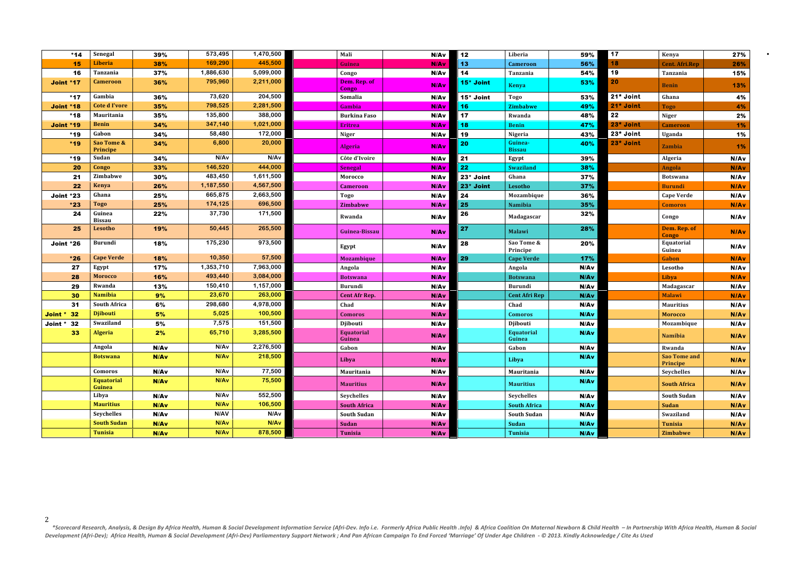\*Scorecard Research, Analysis, & Design By Africa Health, Human & Social Development Information Service (Afri-Dev. Info i.e. Formerly Africa Public Health .Info) & Africa Coalition On Maternal Newborn & Child Health – In Development (Afri-Dev); Africa Health, Human & Social Development (Afri-Dev) Parliamentary Support Network; And Pan African Campaign To End Forced 'Marriage' Of Under Age Children - © 2013. Kindly Acknowledge / Cite As Use

| $*14$             | Senegal                     | 39%         | 573,495          | 1,470,500        | Mali                        | N/Av             | 12        | Liberia                     | 59%  | $\overline{17}$ | Kenya                           | 27%         |
|-------------------|-----------------------------|-------------|------------------|------------------|-----------------------------|------------------|-----------|-----------------------------|------|-----------------|---------------------------------|-------------|
| 15                | <b>Liberia</b>              | 38%         | 169,290          | 445,500          | Guinea                      | <b>N/Av</b>      | 13        | Cameroon                    | 56%  | 18              | <b>Cent. Afri. Rep</b>          | 26%         |
| 16                | Tanzania                    | 37%         | 1,886,630        | 5,099,000        | Congo                       | N/Av             | 14        | Tanzania                    | 54%  | 19              | Tanzania                        | 15%         |
| Joint *17         | <b>Cameroon</b>             | 36%         | 795,960          | 2,211,000        | Dem. Rep. of<br>Congo       | <b>N/Av</b>      | 15* Joint | <b>Kenya</b>                | 53%  | 20              | <b>Benin</b>                    | 13%         |
| $*17$             | Gambia                      | 36%         | 73,620           | 204,500          | Somalia                     | N/Av             | 15* Joint | <b>Togo</b>                 | 53%  | 21* Joint       | Ghana                           | 4%          |
| Joint *18         | <b>Cote d I'vore</b>        | 35%         | 798,525          | 2,281,500        | Gambia                      | <b>N/Av</b>      | 16        | <b>Zimbabwe</b>             | 49%  | 21* Joint       | <b>Togo</b>                     | 4%          |
| $*18$             | Mauritania                  | 35%         | 135,800          | 388,000          | <b>Burkina Faso</b>         | N/Av             | 17        | Rwanda                      | 48%  | 22              | <b>Niger</b>                    | 2%          |
| <b>Joint *19</b>  | <b>Benin</b>                | 34%         | 347,140          | 1,021,000        | <b>Eritrea</b>              | <b>N/Av</b>      | 18        | <b>Benin</b>                | 47%  | 23* Joint       | <b>Cameroon</b>                 | 1%          |
| $*19$             | Gabon                       | 34%         | 58,480           | 172,000          | <b>Niger</b>                | N/Av             | 19        | Nigeria                     | 43%  | 23* Joint       | <b>Uganda</b>                   | 1%          |
| $*19$             | Sao Tome &<br>Principe      | 34%         | 6,800            | 20,000           | <b>Algeria</b>              | N/A <sub>v</sub> | 20        | Guinea-<br><b>Bissau</b>    | 40%  | 23* Joint       | <b>Zambia</b>                   | 1%          |
| $*19$             | Sudan                       | 34%         | N/Av             | N/A <sub>v</sub> | Côte d'Ivoire               | N/Av             | 21        | Egypt                       | 39%  |                 | Algeria                         | <b>N/Av</b> |
| 20                | Congo                       | 33%         | 146,520          | 444,000          | Senegal                     | <b>N/Av</b>      | 22        | <b>Swaziland</b>            | 38%  |                 | Angola                          | <b>N/Av</b> |
| 21                | Zimbabwe                    | 30%         | 483,450          | 1,611,500        | Morocco                     | N/Av             | 23* Joint | Ghana                       | 37%  |                 | <b>Botswana</b>                 | <b>N/Av</b> |
| 22                | <b>Kenya</b>                | 26%         | 1,187,550        | 4,567,500        | <b>Cameroon</b>             | N/Av             | 23* Joint | Lesotho                     | 37%  |                 | <b>Burundi</b>                  | <b>N/Av</b> |
| Joint *23         | Ghana                       | 25%         | 665,875          | 2,663,500        | <b>Togo</b>                 | N/Av             | 24        | Mozambique                  | 36%  |                 | <b>Cape Verde</b>               | <b>N/Av</b> |
| $*23$             | <b>Togo</b>                 | 25%         | 174,125          | 696,500          | <b>Zimbabwe</b>             | N/Av             | 25        | Namibia                     | 35%  |                 | <b>Comoros</b>                  | <b>N/Av</b> |
| 24                | Guinea<br><b>Bissau</b>     | 22%         | 37,730           | 171,500          | Rwanda                      | N/Av             | 26        | Madagascar                  | 32%  |                 | Congo                           | <b>N/Av</b> |
| 25                | Lesotho                     | 19%         | 50,445           | 265,500          | Guinea-Bissau               | N/Av             | 27        | <b>Malawi</b>               | 28%  |                 | Dem. Rep. of<br>Congo           | <b>N/Av</b> |
| Joint *26         | <b>Burundi</b>              | 18%         | 175,230          | 973,500          | Egypt                       | N/Av             | 28        | Sao Tome &<br>Principe      | 20%  |                 | Equatorial<br>Guinea            | <b>N/Av</b> |
| $*26$             | <b>Cape Verde</b>           | 18%         | 10,350           | 57,500           | <b>Mozambique</b>           | N/Av             | 29        | <b>Cape Verde</b>           | 17%  |                 | Gabon                           | <b>N/Av</b> |
| 27                | Egypt                       | 17%         | 1,353,710        | 7,963,000        | Angola                      | N/Av             |           | Angola                      | N/Av |                 | Lesotho                         | <b>N/Av</b> |
| 28                | <b>Morocco</b>              | 16%         | 493,440          | 3,084,000        | <b>Botswana</b>             | N/Av             |           | <b>Botswana</b>             | N/Av |                 | Libya                           | <b>N/Av</b> |
| 29                | Rwanda                      | 13%         | 150,410          | 1,157,000        | <b>Burundi</b>              | N/Av             |           | <b>Burundi</b>              | N/Av |                 | Madagascar                      | N/Av        |
| 30                | <b>Namibia</b>              | 9%          | 23,670           | 263,000          | <b>Cent Afr Rep.</b>        | N/Av             |           | <b>Cent Afri Rep</b>        | N/Av |                 | <b>Malawi</b>                   | <b>N/Av</b> |
| 31                | <b>South Africa</b>         | 6%          | 298,680          | 4,978,000        | Chad                        | N/Av             |           | Chad                        | N/Av |                 | <b>Mauritius</b>                | N/Av        |
| <b>Joint * 32</b> | <b>Djibouti</b>             | 5%          | 5,025            | 100,500          | <b>Comoros</b>              | N/Av             |           | <b>Comoros</b>              | N/Av |                 | <b>Morocco</b>                  | <b>N/Av</b> |
| <b>Joint * 32</b> | Swaziland                   | 5%          | 7,575            | 151,500          | Djibouti                    | N/Av             |           | Djibouti                    | N/Av |                 | Mozambique                      | <b>N/Av</b> |
| 33                | <b>Algeria</b>              | 2%          | 65,710           | 3,285,500        | <b>Equatorial</b><br>Guinea | N/Av             |           | <b>Equatorial</b><br>Guinea | N/Av |                 | <b>Namibia</b>                  | <b>N/Av</b> |
|                   | Angola                      | N/Av        | N/Av             | 2,276,500        | Gabon                       | N/Av             |           | Gabon                       | N/Av |                 | Rwanda                          | N/Av        |
|                   | <b>Botswana</b>             | N/Av        | N/Av             | 218,500          | Libya                       | N/Av             |           | Libya                       | N/Av |                 | <b>Sao Tome and</b><br>Principe | <b>N/Av</b> |
|                   | Comoros                     | N/Av        | N/Av             | 77,500           | Mauritania                  | N/Av             |           | Mauritania                  | N/Av |                 | Seychelles                      | <b>N/Av</b> |
|                   | <b>Equatorial</b><br>Guinea | <b>N/Av</b> | N/A <sub>v</sub> | 75,500           | <b>Mauritius</b>            | N/Av             |           | <b>Mauritius</b>            | N/Av |                 | <b>South Africa</b>             | <b>N/Av</b> |
|                   | Libya                       | N/Av        | N/Av             | 552,500          | Seychelles                  | N/Av             |           | Seychelles                  | N/Av |                 | <b>South Sudan</b>              | <b>N/Av</b> |
|                   | <b>Mauritius</b>            | N/Av        | N/Av             | 106,500          | <b>South Africa</b>         | N/Av             |           | <b>South Africa</b>         | N/Av |                 | <b>Sudan</b>                    | <b>N/Av</b> |
|                   | Seychelles                  | N/Av        | N/AV             | N/Av             | South Sudan                 | N/Av             |           | South Sudan                 | N/Av |                 | Swaziland                       | <b>N/Av</b> |
|                   | <b>South Sudan</b>          | <b>N/Av</b> | N/Av             | N/A <sub>v</sub> | <b>Sudan</b>                | N/Av             |           | Sudan                       | N/Av |                 | <b>Tunisia</b>                  | <b>N/Av</b> |
|                   | <b>Tunisia</b>              | N/Av        | N/A <sub>v</sub> | 878,500          | <b>Tunisia</b>              | N/Av             |           | Tunisia                     | N/Av |                 | Zimbabwe                        | <b>N/Av</b> |

| 59%  | 17        | Kenya                                  | 27%         |
|------|-----------|----------------------------------------|-------------|
| 56%  | 18        | <b>Cent. Afri.Rep</b>                  | 26%         |
| 54%  | 19        | Tanzania                               | 15%         |
| 53%  | 20        | <b>Benin</b>                           | 13%         |
| 53%  | 21* Joint | Ghana                                  | 4%          |
| 49%  | 21* Joint | <b>Togo</b>                            | 4%          |
| 48%  | 22        | <b>Niger</b>                           | 2%          |
| 47%  | 23* Joint | <b>Cameroon</b>                        | 1%          |
| 43%  | 23* Joint | Uganda                                 | 1%          |
| 40%  | 23* Joint | <b>Zambia</b>                          | 1%          |
| 39%  |           | Algeria                                | N/Av        |
| 38%  |           | <b>Angola</b>                          | <b>N/Av</b> |
| 37%  |           | <b>Botswana</b>                        | N/Av        |
| 37%  |           | <b>Burundi</b>                         | <b>N/Av</b> |
| 36%  |           | <b>Cape Verde</b>                      | N/Av        |
| 35%  |           | <b>Comoros</b>                         | <b>N/Av</b> |
| 32%  |           | Congo                                  | N/Av        |
| 28%  |           | Dem. Rep. of<br><b>Congo</b>           | N/Av        |
| 20%  |           | Equatorial<br>Guinea                   | N/Av        |
| 17%  |           | Gabon                                  | N/Av        |
| N/Av |           | Lesotho                                | N/Av        |
| N/Av |           | Libya                                  | <b>N/Av</b> |
| N/Av |           | Madagascar                             | N/Av        |
| N/Av |           | <b>Malawi</b>                          | N/Av        |
| N/Av |           | <b>Mauritius</b>                       | N/Av        |
| N/Av |           | <b>Morocco</b>                         | N/Av        |
| N/Av |           | Mozambique                             | N/Av        |
| N/Av |           | <b>Namibia</b>                         | N/Av        |
| N/Av |           | Rwanda                                 | N/Av        |
| N/Av |           | <b>Sao Tome and</b><br><b>Principe</b> | N/Av        |
| N/Av |           | Seychelles                             | N/Av        |
| N/Av |           | <b>South Africa</b>                    | N/Av        |
| N/Av |           | <b>South Sudan</b>                     | N/Av        |
| N/Av |           | <b>Sudan</b>                           | N/Av        |
| N/Av |           | Swaziland                              | N/Av        |
| N/Av |           | <b>Tunisia</b>                         | N/Av        |
| N/Av |           | <b>Zimbabwe</b>                        | N/Av        |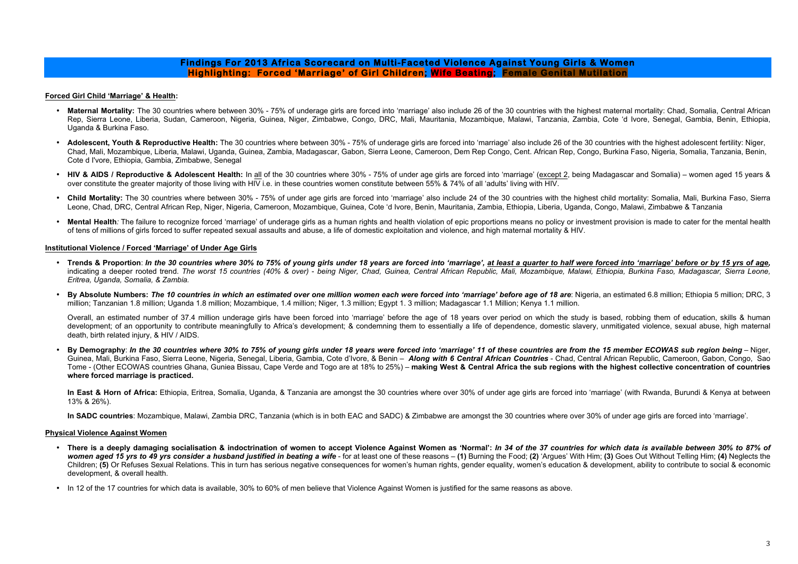## **Findings For 2013 Africa Scorecard on Multi-Faceted Violence Against Young Girls & Women Highlighting: Forced 'Marriage' of Girl Children; Wife Beating; Female Genital Mutilation**

## **Forced Girl Child 'Marriage' & Health:**

- Maternal Mortality: The 30 countries where between 30% 75% of underage girls are forced into 'marriage' also include 26 of the 30 countries with the highest maternal mortality: Chad, Somalia, Central African Rep, Sierra Leone, Liberia, Sudan, Cameroon, Nigeria, Guinea, Niger, Zimbabwe, Congo, DRC, Mali, Mauritania, Mozambique, Malawi, Tanzania, Zambia, Cote 'd Ivore, Senegal, Gambia, Benin, Ethiopia, Uganda & Burkina Faso.
- **Adolescent, Youth & Reproductive Health:** The 30 countries where between 30% 75% of underage girls are forced into 'marriage' also include 26 of the 30 countries with the highest adolescent fertility: Niger, Chad, Mali, Mozambique, Liberia, Malawi, Uganda, Guinea, Zambia, Madagascar, Gabon, Sierra Leone, Cameroon, Dem Rep Congo, Cent. African Rep, Congo, Burkina Faso, Nigeria, Somalia, Tanzania, Benin, Cote d I'vore, Ethiopia, Gambia, Zimbabwe, Senegal
- HIV & AIDS / Reproductive & Adolescent Health: In all of the 30 countries where 30% 75% of under age girls are forced into 'marriage' (except 2, being Madagascar and Somalia) women aged 15 years & over constitute the greater majority of those living with HIV i.e. in these countries women constitute between 55% & 74% of all 'adults' living with HIV.
- Child Mortality: The 30 countries where between 30% 75% of under age girls are forced into 'marriage' also include 24 of the 30 countries with the highest child mortality: Somalia, Mali, Burkina Faso, Sierra Leone, Chad, DRC, Central African Rep, Niger, Nigeria, Cameroon, Mozambique, Guinea, Cote 'd Ivore, Benin, Mauritania, Zambia, Ethiopia, Liberia, Uganda, Congo, Malawi, Zimbabwe & Tanzania
- Mental Health: The failure to recognize forced 'marriage' of underage girls as a human rights and health violation of epic proportions means no policy or investment provision is made to cater for the mental health of tens of millions of girls forced to suffer repeated sexual assaults and abuse, a life of domestic exploitation and violence, and high maternal mortality & HIV.

In East & Horn of Africa: Ethiopia, Eritrea, Somalia, Uganda, & Tanzania are amongst the 30 countries where over 30% of under age girls are forced into 'marriage' (with Rwanda, Burundi & Kenya at between 13% & 26%).

## **Institutional Violence / Forced 'Marriage' of Under Age Girls**

- **Trends & Proportion**: *In the 30 countries where 30% to 75% of young girls under 18 years are forced into 'marriage', at least a quarter to half were forced into 'marriage' before or by 15 yrs of age,* indicating a deeper rooted trend. *The worst 15 countries (40% & over)* - *being Niger, Chad, Guinea, Central African Republic, Mali, Mozambique, Malawi, Ethiopia, Burkina Faso, Madagascar, Sierra Leone, Eritrea, Uganda, Somalia, & Zambia.*
- **By Absolute Numbers:** *The 10 countries in which an estimated over one million women each were forced into 'marriage' before age of 18 are*: Nigeria, an estimated 6.8 million; Ethiopia 5 million; DRC, 3 million; Tanzanian 1.8 million; Uganda 1.8 million; Mozambique, 1.4 million; Niger, 1.3 million; Egypt 1. 3 million; Madagascar 1.1 Million; Kenya 1.1 million.

Overall, an estimated number of 37.4 million underage girls have been forced into 'marriage' before the age of 18 years over period on which the study is based, robbing them of education, skills & human development; of an opportunity to contribute meaningfully to Africa's development; & condemning them to essentially a life of dependence, domestic slavery, unmitigated violence, sexual abuse, high maternal death, birth related injury, & HIV / AIDS.

• **By Demography**: *In the 30 countries where 30% to 75% of young girls under 18 years were forced into 'marriage' 11 of these countries are from the 15 member ECOWAS sub region being* – Niger, Guinea, Mali, Burkina Faso, Sierra Leone, Nigeria, Senegal, Liberia, Gambia, Cote d'Ivore, & Benin – *Along with 6 Central African Countries* - Chad, Central African Republic, Cameroon, Gabon, Congo, Sao Tome - (Other ECOWAS countries Ghana, Guniea Bissau, Cape Verde and Togo are at 18% to 25%) – **making West & Central Africa the sub regions with the highest collective concentration of countries where forced marriage is practiced.**

**In SADC countries**: Mozambique, Malawi, Zambia DRC, Tanzania (which is in both EAC and SADC) & Zimbabwe are amongst the 30 countries where over 30% of under age girls are forced into 'marriage'.

#### **Physical Violence Against Women**

- **There is a deeply damaging socialisation & indoctrination of women to accept Violence Against Women as 'Normal':** *In 34 of the 37 countries for which data is available between 30% to 87% of*  women aged 15 yrs to 49 yrs consider a husband justified in beating a wife - for at least one of these reasons - (1) Burning the Food; (2) 'Argues' With Him; (3) Goes Out Without Telling Him; (4) Neglects the Children; **(5)** Or Refuses Sexual Relations. This in turn has serious negative consequences for women's human rights, gender equality, women's education & development, ability to contribute to social & economic development, & overall health.
- In 12 of the 17 countries for which data is available, 30% to 60% of men believe that Violence Against Women is justified for the same reasons as above.